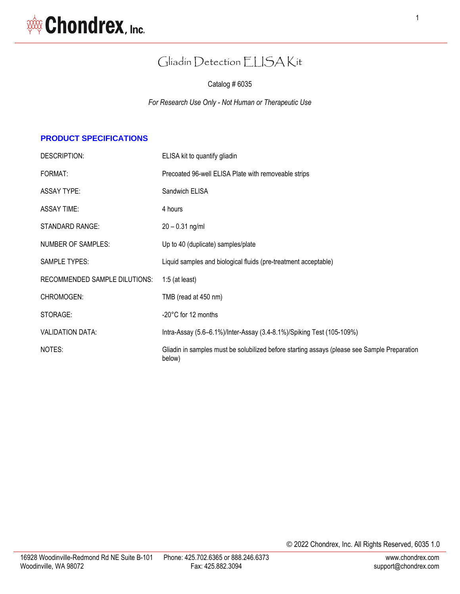# Gliadin Detection ELISA Kit

Catalog # 6035

*For Research Use Only - Not Human or Therapeutic Use*

## **PRODUCT SPECIFICATIONS**

| DESCRIPTION:                  | ELISA kit to quantify gliadin                                                                          |
|-------------------------------|--------------------------------------------------------------------------------------------------------|
| FORMAT:                       | Precoated 96-well ELISA Plate with removeable strips                                                   |
| <b>ASSAY TYPE:</b>            | Sandwich ELISA                                                                                         |
| <b>ASSAY TIME:</b>            | 4 hours                                                                                                |
| <b>STANDARD RANGE:</b>        | $20 - 0.31$ ng/ml                                                                                      |
| <b>NUMBER OF SAMPLES:</b>     | Up to 40 (duplicate) samples/plate                                                                     |
| <b>SAMPLE TYPES:</b>          | Liquid samples and biological fluids (pre-treatment acceptable)                                        |
| RECOMMENDED SAMPLE DILUTIONS: | $1:5$ (at least)                                                                                       |
| CHROMOGEN:                    | TMB (read at 450 nm)                                                                                   |
| STORAGE:                      | -20°C for 12 months                                                                                    |
| <b>VALIDATION DATA:</b>       | Intra-Assay (5.6–6.1%)/Inter-Assay (3.4-8.1%)/Spiking Test (105-109%)                                  |
| NOTES:                        | Gliadin in samples must be solubilized before starting assays (please see Sample Preparation<br>below) |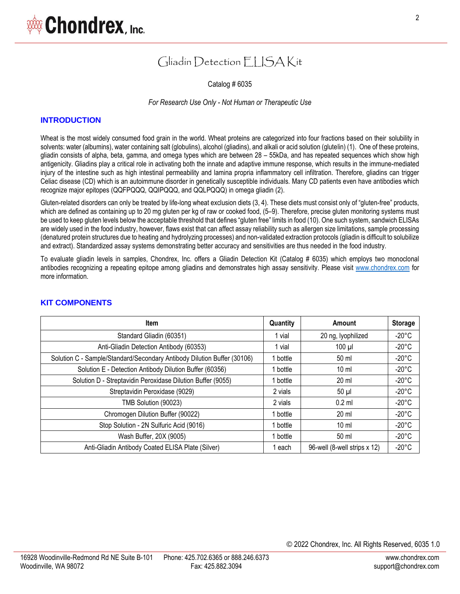## Gliadin Detection FLISA Kit

Catalog # 6035

#### *For Research Use Only - Not Human or Therapeutic Use*

#### **INTRODUCTION**

Wheat is the most widely consumed food grain in the world. Wheat proteins are categorized into four fractions based on their solubility in solvents: water (albumins), water containing salt (globulins), alcohol (gliadins), and alkali or acid solution (glutelin) (1). One of these proteins, gliadin consists of alpha, beta, gamma, and omega types which are between 28 – 55kDa, and has repeated sequences which show high antigenicity. Gliadins play a critical role in activating both the innate and adaptive immune response, which results in the immune-mediated injury of the intestine such as high intestinal permeability and lamina propria inflammatory cell infiltration. Therefore, gliadins can trigger Celiac disease (CD) which is an autoimmune disorder in genetically susceptible individuals. Many CD patients even have antibodies which recognize major epitopes (QQFPQQQ, QQIPQQQ, and QQLPQQQ) in omega gliadin (2).

Gluten-related disorders can only be treated by life-long wheat exclusion diets (3, 4). These diets must consist only of "gluten-free" products, which are defined as containing up to 20 mg gluten per kg of raw or cooked food, (5–9). Therefore, precise gluten monitoring systems must be used to keep gluten levels below the acceptable threshold that defines "gluten free" limits in food (10). One such system, sandwich ELISAs are widely used in the food industry, however, flaws exist that can affect assay reliability such as allergen size limitations, sample processing (denatured protein structures due to heating and hydrolyzing processes) and non-validated extraction protocols (gliadin is difficult to solubilize and extract). Standardized assay systems demonstrating better accuracy and sensitivities are thus needed in the food industry.

To evaluate gliadin levels in samples, Chondrex, Inc. offers a Gliadin Detection Kit (Catalog # 6035) which employs two monoclonal antibodies recognizing a repeating epitope among gliadins and demonstrates high assay sensitivity. Please visit [www.chondrex.com](www.chondrex.com%20) for more information.

| <b>Item</b>                                                             | Quantity | Amount                       | <b>Storage</b>  |
|-------------------------------------------------------------------------|----------|------------------------------|-----------------|
| Standard Gliadin (60351)                                                | vial     | 20 ng, lyophilized           | $-20^{\circ}$ C |
| Anti-Gliadin Detection Antibody (60353)                                 | vial     | $100 \mu$                    | $-20^{\circ}$ C |
| Solution C - Sample/Standard/Secondary Antibody Dilution Buffer (30106) | 1 bottle | 50 ml                        | $-20^{\circ}$ C |
| Solution E - Detection Antibody Dilution Buffer (60356)                 | 1 bottle | $10 \mathrm{m}$              | $-20^{\circ}$ C |
| Solution D - Streptavidin Peroxidase Dilution Buffer (9055)             | 1 bottle | $20 \mathrm{ml}$             | $-20^{\circ}$ C |
| Streptavidin Peroxidase (9029)                                          | 2 vials  | $50 \mu$                     | $-20^{\circ}$ C |
| TMB Solution (90023)                                                    | 2 vials  | $0.2$ ml                     | $-20^{\circ}$ C |
| Chromogen Dilution Buffer (90022)                                       | 1 bottle | 20 ml                        | $-20^{\circ}$ C |
| Stop Solution - 2N Sulfuric Acid (9016)                                 | 1 bottle | $10 \mathrm{m}$              | $-20^{\circ}$ C |
| Wash Buffer, 20X (9005)                                                 | 1 bottle | 50 ml                        | $-20^{\circ}$ C |
| Anti-Gliadin Antibody Coated ELISA Plate (Silver)                       | each     | 96-well (8-well strips x 12) | $-20^{\circ}$ C |

#### **KIT COMPONENTS**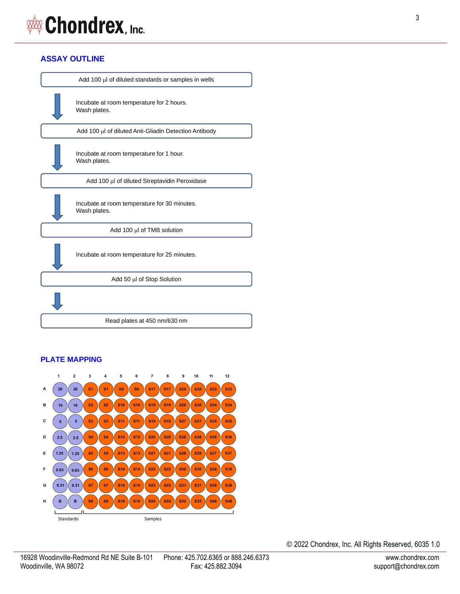## **ASSAY OUTLINE**

| Add 100 µl of diluted standards or samples in wells          |
|--------------------------------------------------------------|
| Incubate at room temperature for 2 hours.<br>Wash plates.    |
| Add 100 µl of diluted Anti-Gliadin Detection Antibody        |
| Incubate at room temperature for 1 hour.<br>Wash plates.     |
| Add 100 µl of diluted Streptavidin Peroxidase                |
| Incubate at room temperature for 30 minutes.<br>Wash plates. |
| Add 100 µl of TMB solution                                   |
| Incubate at room temperature for 25 minutes.                 |
| Add 50 µl of Stop Solution                                   |
|                                                              |
| Read plates at 450 nm/630 nm                                 |
|                                                              |

## **PLATE MAPPING**

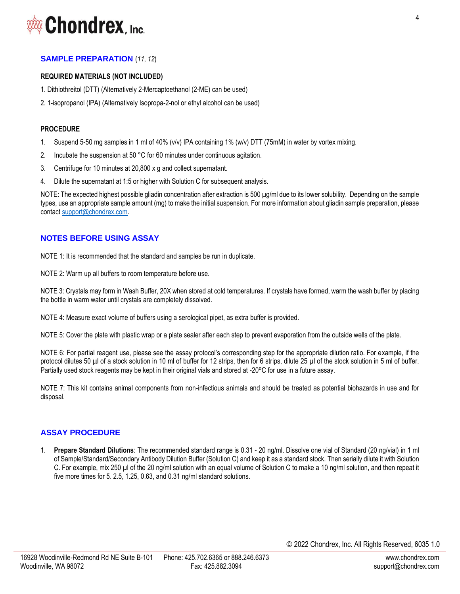#### **SAMPLE PREPARATION** (*11*, *12*)

#### **REQUIRED MATERIALS (NOT INCLUDED)**

- 1. Dithiothreitol (DTT) (Alternatively 2-Mercaptoethanol (2-ME) can be used)
- 2. 1-isopropanol (IPA) (Alternatively Isopropa-2-nol or ethyl alcohol can be used)

#### **PROCEDURE**

- 1. Suspend 5-50 mg samples in 1 ml of 40% (v/v) IPA containing 1% (w/v) DTT (75mM) in water by vortex mixing.
- 2. Incubate the suspension at 50 °C for 60 minutes under continuous agitation.
- 3. Centrifuge for 10 minutes at 20,800 x g and collect supernatant.
- 4. Dilute the supernatant at 1:5 or higher with Solution C for subsequent analysis.

NOTE: The expected highest possible gliadin concentration after extraction is 500 µg/ml due to its lower solubility. Depending on the sample types, use an appropriate sample amount (mg) to make the initial suspension. For more information about gliadin sample preparation, please contac[t support@chondrex.com.](mailto:support@chondrex.com)

#### **NOTES BEFORE USING ASSAY**

NOTE 1: It is recommended that the standard and samples be run in duplicate.

NOTE 2: Warm up all buffers to room temperature before use.

NOTE 3: Crystals may form in Wash Buffer, 20X when stored at cold temperatures. If crystals have formed, warm the wash buffer by placing the bottle in warm water until crystals are completely dissolved.

NOTE 4: Measure exact volume of buffers using a serological pipet, as extra buffer is provided.

NOTE 5: Cover the plate with plastic wrap or a plate sealer after each step to prevent evaporation from the outside wells of the plate.

NOTE 6: For partial reagent use, please see the assay protocol's corresponding step for the appropriate dilution ratio. For example, if the protocol dilutes 50 µl of a stock solution in 10 ml of buffer for 12 strips, then for 6 strips, dilute 25 µl of the stock solution in 5 ml of buffer. Partially used stock reagents may be kept in their original vials and stored at -20°C for use in a future assay.

NOTE 7: This kit contains animal components from non-infectious animals and should be treated as potential biohazards in use and for disposal.

#### **ASSAY PROCEDURE**

1. **Prepare Standard Dilutions**: The recommended standard range is 0.31 - 20 ng/ml. Dissolve one vial of Standard (20 ng/vial) in 1 ml of Sample/Standard/Secondary Antibody Dilution Buffer (Solution C) and keep it as a standard stock. Then serially dilute it with Solution C. For example, mix 250 µl of the 20 ng/ml solution with an equal volume of Solution C to make a 10 ng/ml solution, and then repeat it five more times for 5. 2.5, 1.25, 0.63, and 0.31 ng/ml standard solutions.

4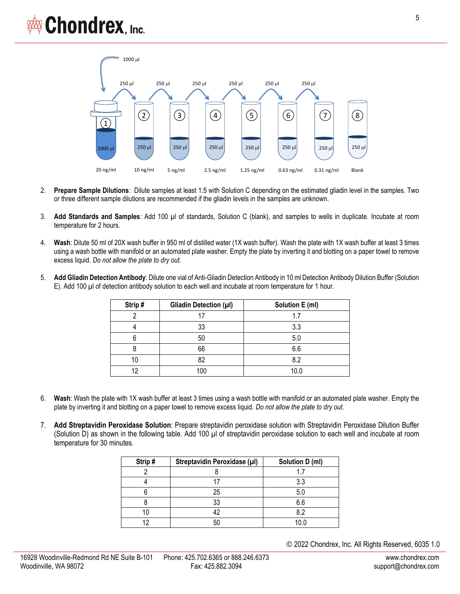

- 2. **Prepare Sample Dilutions**: Dilute samples at least 1:5 with Solution C depending on the estimated gliadin level in the samples. Two or three different sample dilutions are recommended if the gliadin levels in the samples are unknown.
- 3. **Add Standards and Samples**: Add 100 µl of standards, Solution C (blank), and samples to wells in duplicate. Incubate at room temperature for 2 hours.
- 4. **Wash**: Dilute 50 ml of 20X wash buffer in 950 ml of distilled water (1X wash buffer). Wash the plate with 1X wash buffer at least 3 times using a wash bottle with manifold or an automated plate washer. Empty the plate by inverting it and blotting on a paper towel to remove excess liquid. *Do not allow the plate to dry out.*
- 5. **Add Gliadin Detection Antibody**: Dilute one vial of Anti-Gliadin Detection Antibody in 10 ml Detection Antibody Dilution Buffer (Solution E). Add 100 µl of detection antibody solution to each well and incubate at room temperature for 1 hour.

| Strip# | Gliadin Detection (µl) | Solution E (ml) |
|--------|------------------------|-----------------|
|        | 17                     | 1.7             |
|        | 33                     | 3.3             |
|        | 50                     | 5.0             |
|        | 66                     | 6.6             |
| 10     | 82                     | 8.2             |
| 19     | 100                    | 10.0            |

- 6. **Wash**: Wash the plate with 1X wash buffer at least 3 times using a wash bottle with manifold or an automated plate washer. Empty the plate by inverting it and blotting on a paper towel to remove excess liquid. *Do not allow the plate to dry out.*
- 7. **Add Streptavidin Peroxidase Solution**: Prepare streptavidin peroxidase solution with Streptavidin Peroxidase Dilution Buffer (Solution D) as shown in the following table. Add 100 µl of streptavidin peroxidase solution to each well and incubate at room temperature for 30 minutes.

| Strip# | Streptavidin Peroxidase (µI) | Solution D (ml) |
|--------|------------------------------|-----------------|
|        |                              |                 |
|        |                              | 3.3             |
|        | 25                           | 5.0             |
|        | 33                           | 6.6             |
|        | 42                           | 82              |
|        | 50                           | 10.0            |

© 2022 Chondrex, Inc. All Rights Reserved, 6035 1.0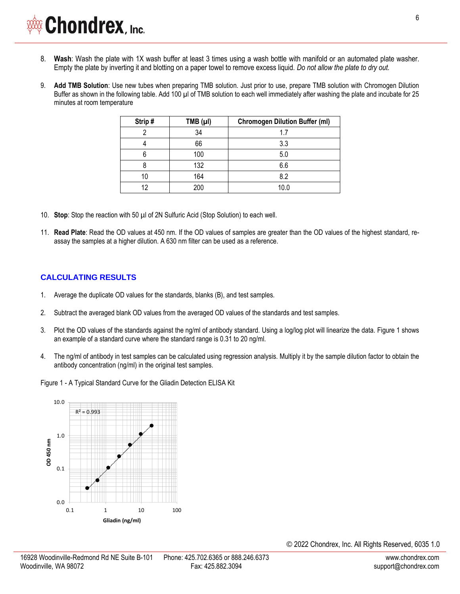- 8. **Wash**: Wash the plate with 1X wash buffer at least 3 times using a wash bottle with manifold or an automated plate washer. Empty the plate by inverting it and blotting on a paper towel to remove excess liquid. *Do not allow the plate to dry out.*
- 9. **Add TMB Solution**: Use new tubes when preparing TMB solution. Just prior to use, prepare TMB solution with Chromogen Dilution Buffer as shown in the following table. Add 100 µl of TMB solution to each well immediately after washing the plate and incubate for 25 minutes at room temperature

| Strip# | $TMB (\mu I)$ | <b>Chromogen Dilution Buffer (ml)</b> |
|--------|---------------|---------------------------------------|
|        | 34            | 17                                    |
|        | 66            | 3.3                                   |
| 6      | 100           | 5.0                                   |
| 8      | 132           | 6.6                                   |
| 10     | 164           | 8.2                                   |
| 12     | 200           | 10.0                                  |

- 10. **Stop**: Stop the reaction with 50 µl of 2N Sulfuric Acid (Stop Solution) to each well.
- 11. **Read Plate**: Read the OD values at 450 nm. If the OD values of samples are greater than the OD values of the highest standard, reassay the samples at a higher dilution. A 630 nm filter can be used as a reference.

### **CALCULATING RESULTS**

- 1. Average the duplicate OD values for the standards, blanks (B), and test samples.
- 2. Subtract the averaged blank OD values from the averaged OD values of the standards and test samples.
- 3. Plot the OD values of the standards against the ng/ml of antibody standard. Using a log/log plot will linearize the data. Figure 1 shows an example of a standard curve where the standard range is 0.31 to 20 ng/ml.
- 4. The ng/ml of antibody in test samples can be calculated using regression analysis. Multiply it by the sample dilution factor to obtain the antibody concentration (ng/ml) in the original test samples.
- Figure 1 A Typical Standard Curve for the Gliadin Detection ELISA Kit

![](_page_5_Figure_12.jpeg)